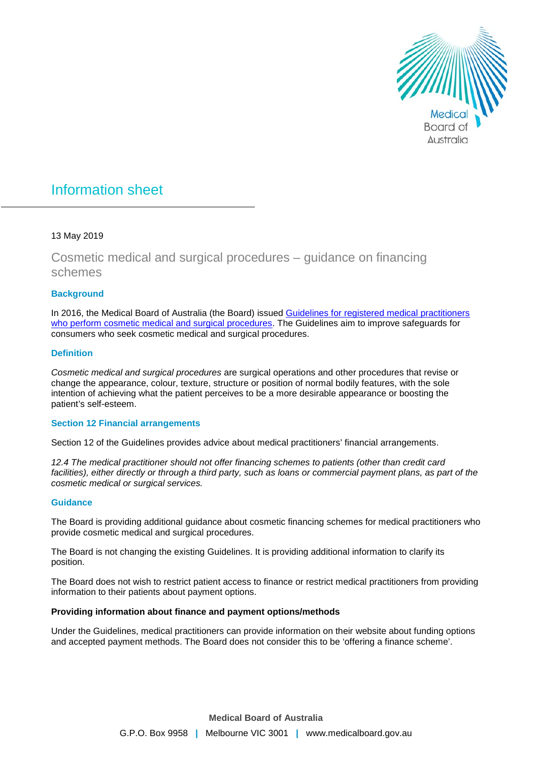

# Information sheet

### 13 May 2019

## Cosmetic medical and surgical procedures – guidance on financing schemes

#### **Background**

In 2016, the Medical Board of Australia (the Board) issued [Guidelines for registered medical practitioners](https://www.medicalboard.gov.au/Codes-Guidelines-Policies/Cosmetic-medical-and-surgical-procedures-guidelines.aspx)  [who perform cosmetic medical and surgical procedures.](https://www.medicalboard.gov.au/Codes-Guidelines-Policies/Cosmetic-medical-and-surgical-procedures-guidelines.aspx) The Guidelines aim to improve safeguards for consumers who seek cosmetic medical and surgical procedures.

#### **Definition**

*Cosmetic medical and surgical procedures* are surgical operations and other procedures that revise or change the appearance, colour, texture, structure or position of normal bodily features, with the sole intention of achieving what the patient perceives to be a more desirable appearance or boosting the patient's self-esteem.

#### **Section 12 Financial arrangements**

Section 12 of the Guidelines provides advice about medical practitioners' financial arrangements.

*12.4 The medical practitioner should not offer financing schemes to patients (other than credit card facilities), either directly or through a third party, such as loans or commercial payment plans, as part of the cosmetic medical or surgical services.*

#### **Guidance**

The Board is providing additional guidance about cosmetic financing schemes for medical practitioners who provide cosmetic medical and surgical procedures.

The Board is not changing the existing Guidelines. It is providing additional information to clarify its position.

The Board does not wish to restrict patient access to finance or restrict medical practitioners from providing information to their patients about payment options.

#### **Providing information about finance and payment options/methods**

Under the Guidelines, medical practitioners can provide information on their website about funding options and accepted payment methods. The Board does not consider this to be 'offering a finance scheme'.